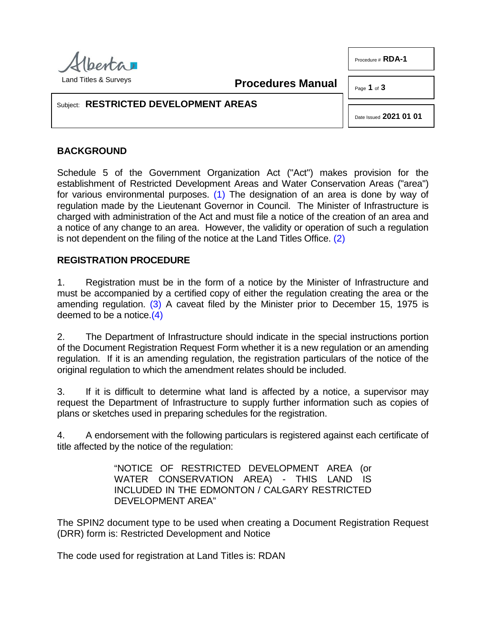

Procedure # **RDA-1**

<span id="page-0-0"></span>**Procedures Manual**

Page **1** of **3**

## Subject: **RESTRICTED DEVELOPMENT AREAS**

<span id="page-0-1"></span>Date Issued **2021 01 01**

## **BACKGROUND**

Schedule 5 of the Government Organization Act ("Act") makes provision for the establishment of Restricted Development Areas and Water Conservation Areas ("area") for various environmental purposes. [\(1\)](#page-2-0) The designation of an area is done by way of regulation made by the Lieutenant Governor in Council. The Minister of Infrastructure is charged with administration of the Act and must file a notice of the creation of an area and a notice of any change to an area. However, the validity or operation of such a regulation is not dependent on the filing of the notice at the Land Titles Office. [\(2\)](#page-2-1)

## **REGISTRATION PROCEDURE**

<span id="page-0-2"></span>1. Registration must be in the form of a notice by the Minister of Infrastructure and must be accompanied by a certified copy of either the regulation creating the area or the amending regulation. [\(3\)](#page-2-2) A caveat filed by the Minister prior to December 15, 1975 is deemed to be a notice. $(4)$ 

<span id="page-0-3"></span>2. The Department of Infrastructure should indicate in the special instructions portion of the Document Registration Request Form whether it is a new regulation or an amending regulation. If it is an amending regulation, the registration particulars of the notice of the original regulation to which the amendment relates should be included.

3. If it is difficult to determine what land is affected by a notice, a supervisor may request the Department of Infrastructure to supply further information such as copies of plans or sketches used in preparing schedules for the registration.

4. A endorsement with the following particulars is registered against each certificate of title affected by the notice of the regulation:

> "NOTICE OF RESTRICTED DEVELOPMENT AREA (or WATER CONSERVATION AREA) - THIS LAND IS INCLUDED IN THE EDMONTON / CALGARY RESTRICTED DEVELOPMENT AREA"

The SPIN2 document type to be used when creating a Document Registration Request (DRR) form is: Restricted Development and Notice

The code used for registration at Land Titles is: RDAN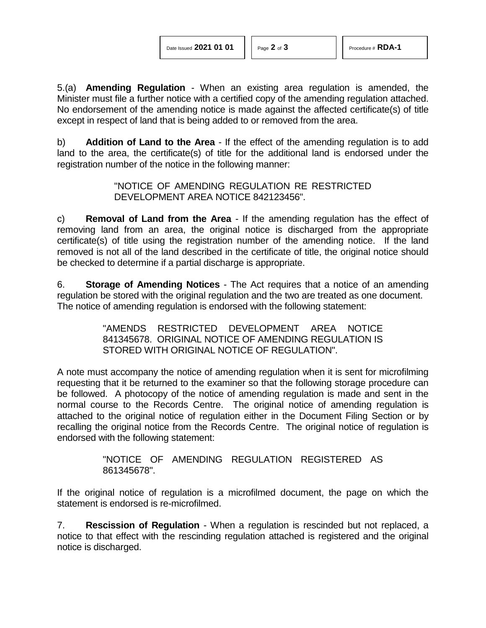Date Issued 2021 01 01 | Page 2 of 3 | Procedure # **RDA-1** 

5.(a) **Amending Regulation** - When an existing area regulation is amended, the Minister must file a further notice with a certified copy of the amending regulation attached. No endorsement of the amending notice is made against the affected certificate(s) of title except in respect of land that is being added to or removed from the area.

b) **Addition of Land to the Area** - If the effect of the amending regulation is to add land to the area, the certificate(s) of title for the additional land is endorsed under the registration number of the notice in the following manner:

> "NOTICE OF AMENDING REGULATION RE RESTRICTED DEVELOPMENT AREA NOTICE 842123456".

c) **Removal of Land from the Area** - If the amending regulation has the effect of removing land from an area, the original notice is discharged from the appropriate certificate(s) of title using the registration number of the amending notice. If the land removed is not all of the land described in the certificate of title, the original notice should be checked to determine if a partial discharge is appropriate.

6. **Storage of Amending Notices** - The Act requires that a notice of an amending regulation be stored with the original regulation and the two are treated as one document. The notice of amending regulation is endorsed with the following statement:

> "AMENDS RESTRICTED DEVELOPMENT AREA NOTICE 841345678. ORIGINAL NOTICE OF AMENDING REGULATION IS STORED WITH ORIGINAL NOTICE OF REGULATION".

A note must accompany the notice of amending regulation when it is sent for microfilming requesting that it be returned to the examiner so that the following storage procedure can be followed. A photocopy of the notice of amending regulation is made and sent in the normal course to the Records Centre. The original notice of amending regulation is attached to the original notice of regulation either in the Document Filing Section or by recalling the original notice from the Records Centre. The original notice of regulation is endorsed with the following statement:

> "NOTICE OF AMENDING REGULATION REGISTERED AS 861345678".

If the original notice of regulation is a microfilmed document, the page on which the statement is endorsed is re-microfilmed.

7. **Rescission of Regulation** - When a regulation is rescinded but not replaced, a notice to that effect with the rescinding regulation attached is registered and the original notice is discharged.